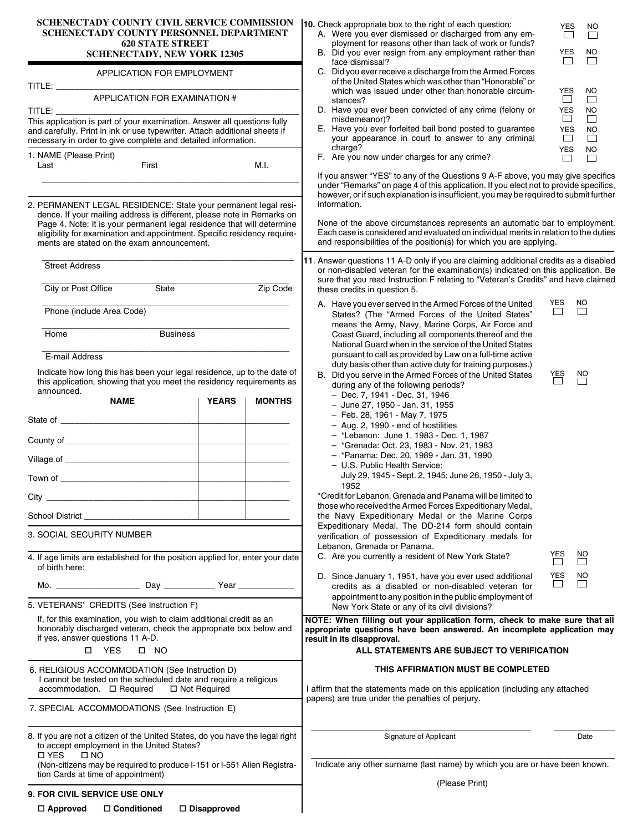| <b>SCHENECTADY COUNTY CIVIL SERVICE COMMISSION</b> | <b>10.</b> Check appropriate box to the right of each question: |
|----------------------------------------------------|-----------------------------------------------------------------|
| SCHENECTADY COUNTY PERSONNEL DEPARTMENT            | A. Were you ever dismissed or discharged from ar                |
| <b>620 STATE STREET</b>                            | ployment for reasons other than lack of work or f               |
| <b>SCHENECTADY, NEW YORK 12305</b>                 | B. Did you ever resign from any employment rathe                |

| APPLICATION FOR EMPLOYMENT |
|----------------------------|
|----------------------------|

| TITLE:                                                                                                                                                                                                                  |
|-------------------------------------------------------------------------------------------------------------------------------------------------------------------------------------------------------------------------|
| APPLICATION FOR EXAMINATION #                                                                                                                                                                                           |
| TITLE:                                                                                                                                                                                                                  |
| This application is part of your examination. Answer all questions fully<br>and carefully. Print in ink or use typewriter. Attach additional sheets if<br>necessary in order to give complete and detailed information. |
| 1. NAME (Please Print)                                                                                                                                                                                                  |

Last **Eirst** First M.I.

2. PERMANENT LEGAL RESIDENCE: State your permanent legal residence. If your mailing address is different, please note in Remarks on Page 4. Note: It is your permanent legal residence that will determine eligibility for examination and appointment. Specific residency requirements are stated on the exam announcement.

\_\_\_\_\_\_\_\_\_\_\_\_\_\_\_\_\_\_\_\_\_\_\_\_\_\_\_\_\_\_\_\_\_\_\_\_\_\_\_\_\_\_\_\_\_\_\_\_\_\_\_\_\_\_\_

| <b>Street Address</b>                                                                                                                                                        |                                   | 11. Answer questions 11 A-D only if you are claiming additional credits as a disabled<br>or non-disabled veteran for the examination(s) indicated on this application. Be<br>sure that you read Instruction F relating to "Veteran's Credits" and have claimed |                      |                                |  |  |  |  |
|------------------------------------------------------------------------------------------------------------------------------------------------------------------------------|-----------------------------------|----------------------------------------------------------------------------------------------------------------------------------------------------------------------------------------------------------------------------------------------------------------|----------------------|--------------------------------|--|--|--|--|
| State<br>City or Post Office                                                                                                                                                 | Zip Code                          | these credits in question 5.                                                                                                                                                                                                                                   |                      |                                |  |  |  |  |
| Phone (include Area Code)                                                                                                                                                    |                                   | A. Have you ever served in the Armed Forces of the United<br>States? (The "Armed Forces of the United States"<br>means the Army, Navy, Marine Corps, Air Force and                                                                                             | <b>YES</b><br>$\Box$ | <b>NO</b><br>$\Box$            |  |  |  |  |
| Home                                                                                                                                                                         | <b>Business</b>                   | Coast Guard, including all components thereof and the<br>National Guard when in the service of the United States                                                                                                                                               |                      |                                |  |  |  |  |
| E-mail Address                                                                                                                                                               |                                   | pursuant to call as provided by Law on a full-time active                                                                                                                                                                                                      |                      |                                |  |  |  |  |
| Indicate how long this has been your legal residence, up to the date of<br>this application, showing that you meet the residency requirements as<br>announced.               |                                   | duty basis other than active duty for training purposes.)<br>B. Did you serve in the Armed Forces of the United States<br>during any of the following periods?<br>- Dec. 7, 1941 - Dec. 31, 1946                                                               | YES<br>              | $\sum_{i=1}^{NQ}$              |  |  |  |  |
| <b>NAME</b>                                                                                                                                                                  | <b>YEARS</b><br><b>MONTHS</b>     | - June 27, 1950 - Jan. 31, 1955                                                                                                                                                                                                                                |                      |                                |  |  |  |  |
|                                                                                                                                                                              |                                   | - Feb. 28, 1961 - May 7, 1975<br>- Aug. 2, 1990 - end of hostilities                                                                                                                                                                                           |                      |                                |  |  |  |  |
|                                                                                                                                                                              |                                   | - *Lebanon: June 1, 1983 - Dec. 1, 1987                                                                                                                                                                                                                        |                      |                                |  |  |  |  |
|                                                                                                                                                                              |                                   | - *Grenada: Oct. 23, 1983 - Nov. 21, 1983                                                                                                                                                                                                                      |                      |                                |  |  |  |  |
|                                                                                                                                                                              | the company of the company of the | - *Panama: Dec. 20, 1989 - Jan. 31, 1990<br>- U.S. Public Health Service:                                                                                                                                                                                      |                      |                                |  |  |  |  |
|                                                                                                                                                                              | <b>Contract Contract</b>          | July 29, 1945 - Sept. 2, 1945; June 26, 1950 - July 3,                                                                                                                                                                                                         |                      |                                |  |  |  |  |
|                                                                                                                                                                              |                                   | 1952<br>*Credit for Lebanon, Grenada and Panama will be limited to                                                                                                                                                                                             |                      |                                |  |  |  |  |
|                                                                                                                                                                              |                                   | those who received the Armed Forces Expeditionary Medal,                                                                                                                                                                                                       |                      |                                |  |  |  |  |
|                                                                                                                                                                              |                                   | the Navy Expeditionary Medal or the Marine Corps                                                                                                                                                                                                               |                      |                                |  |  |  |  |
| 3. SOCIAL SECURITY NUMBER                                                                                                                                                    |                                   | Expeditionary Medal. The DD-214 form should contain<br>verification of possession of Expeditionary medals for<br>Lebanon, Grenada or Panama.                                                                                                                   |                      |                                |  |  |  |  |
| 4. If age limits are established for the position applied for, enter your date<br>of birth here:                                                                             |                                   | C. Are you currently a resident of New York State?                                                                                                                                                                                                             | YES<br>              | $\frac{NO}{\Box}$<br><b>NO</b> |  |  |  |  |
|                                                                                                                                                                              |                                   | YES<br>D. Since January 1, 1951, have you ever used additional<br>$\Box$<br>credits as a disabled or non-disabled veteran for<br>appointment to any position in the public employment of                                                                       |                      |                                |  |  |  |  |
| 5. VETERANS' CREDITS (See Instruction F)                                                                                                                                     |                                   | New York State or any of its civil divisions?                                                                                                                                                                                                                  |                      |                                |  |  |  |  |
| If, for this examination, you wish to claim additional credit as an<br>honorably discharged veteran, check the appropriate box below and<br>if yes, answer questions 11 A-D. |                                   | NOTE: When filling out your application form, check to make sure that all<br>appropriate questions have been answered. An incomplete application may<br>result in its disapproval.                                                                             |                      |                                |  |  |  |  |
| □ YES<br>$\Box$ NO                                                                                                                                                           |                                   | ALL STATEMENTS ARE SUBJECT TO VERIFICATION                                                                                                                                                                                                                     |                      |                                |  |  |  |  |
| 6. RELIGIOUS ACCOMMODATION (See Instruction D)<br>I cannot be tested on the scheduled date and require a religious<br>$accommodation. \Box$ Required                         | □ Not Required                    | THIS AFFIRMATION MUST BE COMPLETED<br>I affirm that the statements made on this application (including any attached                                                                                                                                            |                      |                                |  |  |  |  |
| 7. SPECIAL ACCOMMODATIONS (See Instruction E)                                                                                                                                |                                   | papers) are true under the penalties of perjury.                                                                                                                                                                                                               |                      |                                |  |  |  |  |
| 8. If you are not a citizen of the United States, do you have the legal right<br>to accept employment in the United States?                                                  |                                   | Signature of Applicant                                                                                                                                                                                                                                         |                      | Date                           |  |  |  |  |
| <b>D</b> YES<br>$\square$ NO<br>(Non-citizens may be required to produce I-151 or I-551 Alien Registra-<br>tion Cards at time of appointment)                                |                                   | Indicate any other surname (last name) by which you are or have been known.                                                                                                                                                                                    |                      |                                |  |  |  |  |
|                                                                                                                                                                              |                                   | (Please Print)                                                                                                                                                                                                                                                 |                      |                                |  |  |  |  |
| <b>9. FOR CIVIL SERVICE USE ONLY</b>                                                                                                                                         |                                   |                                                                                                                                                                                                                                                                |                      |                                |  |  |  |  |

| YES                      | NΟ                   |
|--------------------------|----------------------|
| YES<br>YES<br>YES<br>YES | NΟ<br>NΟ<br>NΟ<br>NO |

YES NO

|  |  | F. Are you now under charges for any crime? |  |  |
|--|--|---------------------------------------------|--|--|

face dismissal?

misdemeanor)?

stances?

charge?

A. Were you ever dismissed or discharged from any employment for reasons other than lack of work or funds? B. Did you ever resign from any employment rather than

C. Did you ever receive a discharge from the Armed Forces of the United States which was other than "Honorable" or which was issued under other than honorable circum-

D. Have you ever been convicted of any crime (felony or

E. Have you ever forfeited bail bond posted to guarantee your appearance in court to answer to any criminal

If you answer "YES" to any of the Questions 9 A-F above, you may give specifics under "Remarks" on page 4 of this application. If you elect not to provide specifics, however, or if such explanation is insufficient, you may be required to submit further information.

None of the above circumstances represents an automatic bar to employment. Each case is considered and evaluated on individual merits in relation to the duties and responsibilities of the position(s) for which you are applying.

- rces of the United e United States" os, Air Force and ts thereof and the the United States n a full-time active aining purposes.)
- the United States
	- 1987
	- , 1983<br>. 1990
	- - 26, 1950 July 3,

| -5  | N  |
|-----|----|
| YES | NΟ |

## **AJECT TO VERIFICATION**

#### **IST BE COMPLETED**

**9. FOR CIVIL SERVICE USE ONLY**

 **Approved Conditioned Disapproved**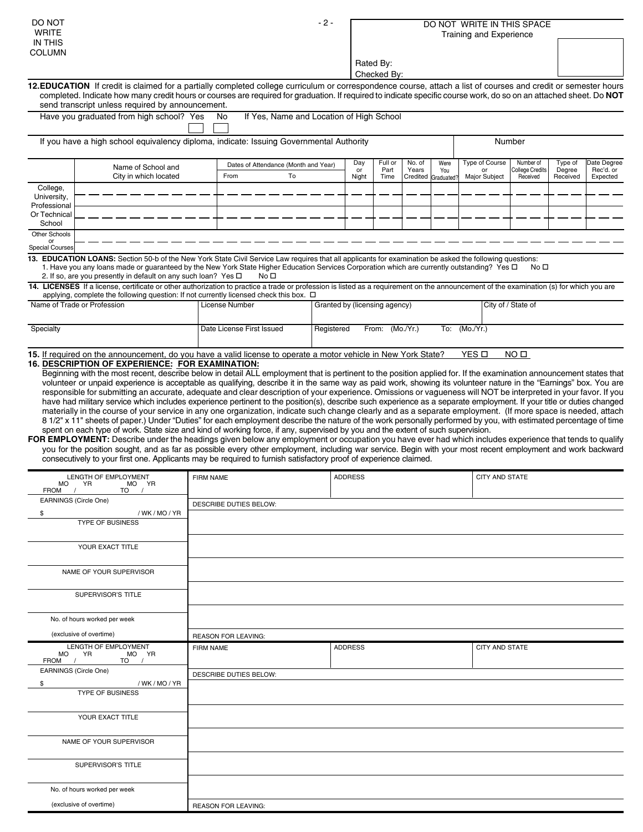| DO NOT<br><b>WRITE</b><br>IN THIS                       |                                                                                                                                                                                                                                                                                                                                                                                                                                                                                                                                                                                                                                                                                                                                                                                                                                                                                                                                                                                                                                                                                           | $-2-$            |                                                |    |                               | DO NOT WRITE IN THIS SPACE<br>Training and Experience |                          |                 |                                    |                                       |                                          |                               |                                      |
|---------------------------------------------------------|-------------------------------------------------------------------------------------------------------------------------------------------------------------------------------------------------------------------------------------------------------------------------------------------------------------------------------------------------------------------------------------------------------------------------------------------------------------------------------------------------------------------------------------------------------------------------------------------------------------------------------------------------------------------------------------------------------------------------------------------------------------------------------------------------------------------------------------------------------------------------------------------------------------------------------------------------------------------------------------------------------------------------------------------------------------------------------------------|------------------|------------------------------------------------|----|-------------------------------|-------------------------------------------------------|--------------------------|-----------------|------------------------------------|---------------------------------------|------------------------------------------|-------------------------------|--------------------------------------|
| COLUMN                                                  |                                                                                                                                                                                                                                                                                                                                                                                                                                                                                                                                                                                                                                                                                                                                                                                                                                                                                                                                                                                                                                                                                           |                  |                                                |    |                               |                                                       | Rated By:<br>Checked By: |                 |                                    |                                       |                                          |                               |                                      |
|                                                         | 12.EDUCATION If credit is claimed for a partially completed college curriculum or correspondence course, attach a list of courses and credit or semester hours<br>completed. Indicate how many credit hours or courses are required for graduation. If required to indicate specific course work, do so on an attached sheet. Do NOT                                                                                                                                                                                                                                                                                                                                                                                                                                                                                                                                                                                                                                                                                                                                                      |                  |                                                |    |                               |                                                       |                          |                 |                                    |                                       |                                          |                               |                                      |
|                                                         | send transcript unless required by announcement.<br>Have you graduated from high school? Yes                                                                                                                                                                                                                                                                                                                                                                                                                                                                                                                                                                                                                                                                                                                                                                                                                                                                                                                                                                                              |                  | If Yes, Name and Location of High School<br>No |    |                               |                                                       |                          |                 |                                    |                                       |                                          |                               |                                      |
|                                                         |                                                                                                                                                                                                                                                                                                                                                                                                                                                                                                                                                                                                                                                                                                                                                                                                                                                                                                                                                                                                                                                                                           |                  |                                                |    |                               |                                                       |                          |                 |                                    |                                       |                                          |                               |                                      |
|                                                         | If you have a high school equivalency diploma, indicate: Issuing Governmental Authority                                                                                                                                                                                                                                                                                                                                                                                                                                                                                                                                                                                                                                                                                                                                                                                                                                                                                                                                                                                                   |                  |                                                |    |                               |                                                       |                          |                 |                                    |                                       | Number                                   |                               |                                      |
|                                                         | Name of School and<br>City in which located                                                                                                                                                                                                                                                                                                                                                                                                                                                                                                                                                                                                                                                                                                                                                                                                                                                                                                                                                                                                                                               |                  | Dates of Attendance (Month and Year)<br>From   | To |                               | Day<br>or<br>Night                                    | Full or<br>Part<br>Time  | No. of<br>Years | Were<br>You<br>Credited Graduated? | Type of Course<br>or<br>Major Subject | Number of<br>College Credits<br>Received | Type of<br>Degree<br>Received | Date Degree<br>Rec'd. or<br>Expected |
| College,<br>University,<br>Professional<br>Or Technical |                                                                                                                                                                                                                                                                                                                                                                                                                                                                                                                                                                                                                                                                                                                                                                                                                                                                                                                                                                                                                                                                                           |                  |                                                |    |                               |                                                       |                          |                 |                                    |                                       |                                          |                               |                                      |
| School<br>Other Schools                                 |                                                                                                                                                                                                                                                                                                                                                                                                                                                                                                                                                                                                                                                                                                                                                                                                                                                                                                                                                                                                                                                                                           |                  |                                                |    |                               |                                                       |                          |                 |                                    |                                       |                                          |                               |                                      |
| or<br><b>Special Courses</b>                            |                                                                                                                                                                                                                                                                                                                                                                                                                                                                                                                                                                                                                                                                                                                                                                                                                                                                                                                                                                                                                                                                                           |                  |                                                |    |                               |                                                       |                          |                 |                                    |                                       |                                          |                               |                                      |
|                                                         | 13. EDUCATION LOANS: Section 50-b of the New York State Civil Service Law requires that all applicants for examination be asked the following questions:<br>1. Have you any loans made or guaranteed by the New York State Higher Education Services Corporation which are currently outstanding? Yes $\Box$<br>2. If so, are you presently in default on any such loan? Yes $\square$                                                                                                                                                                                                                                                                                                                                                                                                                                                                                                                                                                                                                                                                                                    |                  | No <sub>D</sub>                                |    |                               |                                                       |                          |                 |                                    |                                       | No口                                      |                               |                                      |
|                                                         | 14. LICENSES If a license, certificate or other authorization to practice a trade or profession is listed as a requirement on the announcement of the examination (s) for which you are<br>applying, complete the following question: If not currently licensed check this box. $\Box$                                                                                                                                                                                                                                                                                                                                                                                                                                                                                                                                                                                                                                                                                                                                                                                                    |                  |                                                |    |                               |                                                       |                          |                 |                                    |                                       |                                          |                               |                                      |
|                                                         | Name of Trade or Profession                                                                                                                                                                                                                                                                                                                                                                                                                                                                                                                                                                                                                                                                                                                                                                                                                                                                                                                                                                                                                                                               |                  | License Number                                 |    | Granted by (licensing agency) |                                                       |                          |                 |                                    |                                       | City of / State of                       |                               |                                      |
| Specialty                                               |                                                                                                                                                                                                                                                                                                                                                                                                                                                                                                                                                                                                                                                                                                                                                                                                                                                                                                                                                                                                                                                                                           |                  | Date License First Issued                      |    | Registered                    |                                                       | From: (Mo./Yr.)          |                 |                                    | To: (Mo./Yr.)                         |                                          |                               |                                      |
|                                                         | have had military service which includes experience pertinent to the position(s), describe such experience as a separate employment. If your title or duties changed<br>materially in the course of your service in any one organization, indicate such change clearly and as a separate employment. (If more space is needed, attach<br>8 1/2" x 11" sheets of paper.) Under "Duties" for each employment describe the nature of the work personally performed by you, with estimated percentage of time<br>spent on each type of work. State size and kind of working force, if any, supervised by you and the extent of such supervision.<br>FOR EMPLOYMENT: Describe under the headings given below any employment or occupation you have ever had which includes experience that tends to qualify<br>you for the position sought, and as far as possible every other employment, including war service. Begin with your most recent employment and work backward<br>consecutively to your first one. Applicants may be required to furnish satisfactory proof of experience claimed. |                  |                                                |    |                               |                                                       |                          |                 |                                    |                                       |                                          |                               |                                      |
| MO.                                                     | LENGTH OF EMPLOYMENT<br>YR.<br>MO YR                                                                                                                                                                                                                                                                                                                                                                                                                                                                                                                                                                                                                                                                                                                                                                                                                                                                                                                                                                                                                                                      | <b>FIRM NAME</b> |                                                |    |                               | <b>ADDRESS</b>                                        |                          |                 |                                    | <b>CITY AND STATE</b>                 |                                          |                               |                                      |
| FROM /                                                  | TO<br>EARNINGS (Circle One)                                                                                                                                                                                                                                                                                                                                                                                                                                                                                                                                                                                                                                                                                                                                                                                                                                                                                                                                                                                                                                                               |                  | <b>DESCRIBE DUTIES BELOW:</b>                  |    |                               |                                                       |                          |                 |                                    |                                       |                                          |                               |                                      |
| \$                                                      | /WK/MO/YR<br><b>TYPE OF BUSINESS</b>                                                                                                                                                                                                                                                                                                                                                                                                                                                                                                                                                                                                                                                                                                                                                                                                                                                                                                                                                                                                                                                      |                  |                                                |    |                               |                                                       |                          |                 |                                    |                                       |                                          |                               |                                      |
|                                                         | YOUR EXACT TITLE                                                                                                                                                                                                                                                                                                                                                                                                                                                                                                                                                                                                                                                                                                                                                                                                                                                                                                                                                                                                                                                                          |                  |                                                |    |                               |                                                       |                          |                 |                                    |                                       |                                          |                               |                                      |
|                                                         | NAME OF YOUR SUPERVISOR                                                                                                                                                                                                                                                                                                                                                                                                                                                                                                                                                                                                                                                                                                                                                                                                                                                                                                                                                                                                                                                                   |                  |                                                |    |                               |                                                       |                          |                 |                                    |                                       |                                          |                               |                                      |
|                                                         | SUPERVISOR'S TITLE                                                                                                                                                                                                                                                                                                                                                                                                                                                                                                                                                                                                                                                                                                                                                                                                                                                                                                                                                                                                                                                                        |                  |                                                |    |                               |                                                       |                          |                 |                                    |                                       |                                          |                               |                                      |
|                                                         | No. of hours worked per week                                                                                                                                                                                                                                                                                                                                                                                                                                                                                                                                                                                                                                                                                                                                                                                                                                                                                                                                                                                                                                                              |                  |                                                |    |                               |                                                       |                          |                 |                                    |                                       |                                          |                               |                                      |
|                                                         | (exclusive of overtime)                                                                                                                                                                                                                                                                                                                                                                                                                                                                                                                                                                                                                                                                                                                                                                                                                                                                                                                                                                                                                                                                   |                  | <b>REASON FOR LEAVING:</b>                     |    |                               |                                                       |                          |                 |                                    |                                       |                                          |                               |                                      |
| MO<br>FROM                                              | LENGTH OF EMPLOYMENT<br><b>YR</b><br>MO YR<br>$\sqrt{ }$<br>$TO$ /                                                                                                                                                                                                                                                                                                                                                                                                                                                                                                                                                                                                                                                                                                                                                                                                                                                                                                                                                                                                                        | <b>FIRM NAME</b> |                                                |    |                               | <b>ADDRESS</b>                                        |                          |                 |                                    | <b>CITY AND STATE</b>                 |                                          |                               |                                      |
| \$                                                      | EARNINGS (Circle One)<br>/ WK / MO / YR<br><b>TYPE OF BUSINESS</b>                                                                                                                                                                                                                                                                                                                                                                                                                                                                                                                                                                                                                                                                                                                                                                                                                                                                                                                                                                                                                        |                  | DESCRIBE DUTIES BELOW:                         |    |                               |                                                       |                          |                 |                                    |                                       |                                          |                               |                                      |
|                                                         | YOUR EXACT TITLE                                                                                                                                                                                                                                                                                                                                                                                                                                                                                                                                                                                                                                                                                                                                                                                                                                                                                                                                                                                                                                                                          |                  |                                                |    |                               |                                                       |                          |                 |                                    |                                       |                                          |                               |                                      |
|                                                         | NAME OF YOUR SUPERVISOR                                                                                                                                                                                                                                                                                                                                                                                                                                                                                                                                                                                                                                                                                                                                                                                                                                                                                                                                                                                                                                                                   |                  |                                                |    |                               |                                                       |                          |                 |                                    |                                       |                                          |                               |                                      |
|                                                         | SUPERVISOR'S TITLE                                                                                                                                                                                                                                                                                                                                                                                                                                                                                                                                                                                                                                                                                                                                                                                                                                                                                                                                                                                                                                                                        |                  |                                                |    |                               |                                                       |                          |                 |                                    |                                       |                                          |                               |                                      |
|                                                         | No. of hours worked per week                                                                                                                                                                                                                                                                                                                                                                                                                                                                                                                                                                                                                                                                                                                                                                                                                                                                                                                                                                                                                                                              |                  |                                                |    |                               |                                                       |                          |                 |                                    |                                       |                                          |                               |                                      |
|                                                         | (exclusive of overtime)                                                                                                                                                                                                                                                                                                                                                                                                                                                                                                                                                                                                                                                                                                                                                                                                                                                                                                                                                                                                                                                                   |                  | <b>REASON FOR LEAVING:</b>                     |    |                               |                                                       |                          |                 |                                    |                                       |                                          |                               |                                      |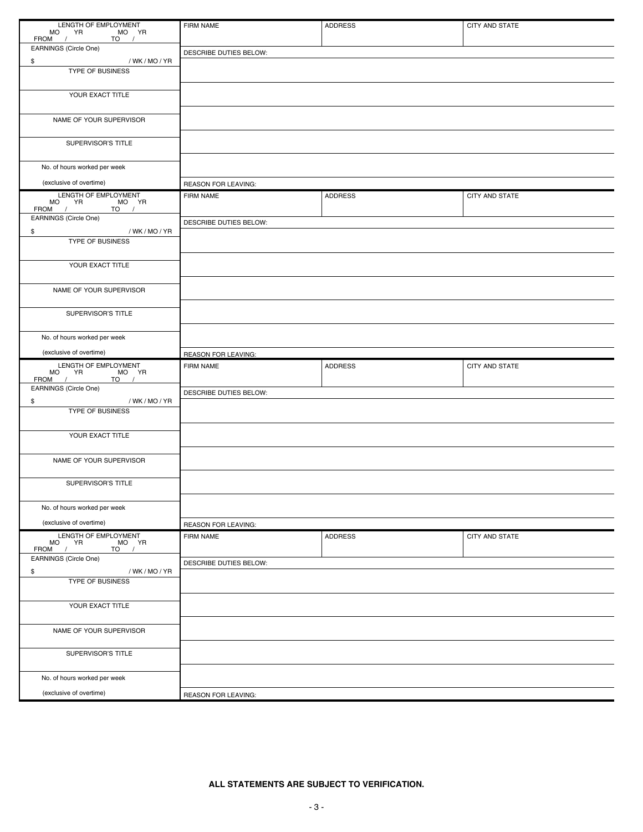| LENGTH OF EMPLOYMENT<br>MO YR MO YR<br>FROM / TO /                  | FIRM NAME                  | <b>ADDRESS</b> | CITY AND STATE |
|---------------------------------------------------------------------|----------------------------|----------------|----------------|
| EARNINGS (Circle One)                                               | DESCRIBE DUTIES BELOW:     |                |                |
| \$<br>/WK/MO/YR                                                     |                            |                |                |
| TYPE OF BUSINESS                                                    |                            |                |                |
| YOUR EXACT TITLE                                                    |                            |                |                |
| NAME OF YOUR SUPERVISOR                                             |                            |                |                |
| SUPERVISOR'S TITLE                                                  |                            |                |                |
| No. of hours worked per week                                        |                            |                |                |
| (exclusive of overtime)                                             | <b>REASON FOR LEAVING:</b> |                |                |
| LENGTH OF EMPLOYMENT<br>MO YR<br>FROM /<br>$MO^{\sim} YR$<br>$TO$ / | FIRM NAME                  | <b>ADDRESS</b> | CITY AND STATE |
| EARNINGS (Circle One)                                               | DESCRIBE DUTIES BELOW:     |                |                |
| \$<br>/ WK / MO / YR                                                |                            |                |                |
| TYPE OF BUSINESS                                                    |                            |                |                |
| YOUR EXACT TITLE                                                    |                            |                |                |
| NAME OF YOUR SUPERVISOR                                             |                            |                |                |
| SUPERVISOR'S TITLE                                                  |                            |                |                |
| No. of hours worked per week                                        |                            |                |                |
| (exclusive of overtime)                                             | <b>REASON FOR LEAVING:</b> |                |                |
|                                                                     |                            |                |                |
| LENGTH OF EMPLOYMENT                                                | <b>FIRM NAME</b>           | <b>ADDRESS</b> | CITY AND STATE |
| MO YR MO YR<br>FROM / TO /                                          |                            |                |                |
| EARNINGS (Circle One)                                               | DESCRIBE DUTIES BELOW:     |                |                |
| \$<br>/WK/MO/YR<br>TYPE OF BUSINESS                                 |                            |                |                |
| YOUR EXACT TITLE                                                    |                            |                |                |
| NAME OF YOUR SUPERVISOR                                             |                            |                |                |
|                                                                     |                            |                |                |
| SUPERVISOR'S TITLE                                                  |                            |                |                |
| No. of hours worked per week                                        |                            |                |                |
| (exclusive of overtime)                                             | <b>REASON FOR LEAVING:</b> |                |                |
| LENGTH OF EMPLOYMENT<br>MO YR<br>MO YR                              | FIRM NAME                  | <b>ADDRESS</b> | CITY AND STATE |
| FROM /<br>$TO$ /<br>EARNINGS (Circle One)                           |                            |                |                |
| \$<br>/WK/MO/YR                                                     | DESCRIBE DUTIES BELOW:     |                |                |
| <b>TYPE OF BUSINESS</b>                                             |                            |                |                |
| YOUR EXACT TITLE                                                    |                            |                |                |
| NAME OF YOUR SUPERVISOR                                             |                            |                |                |
| SUPERVISOR'S TITLE                                                  |                            |                |                |
| No. of hours worked per week                                        |                            |                |                |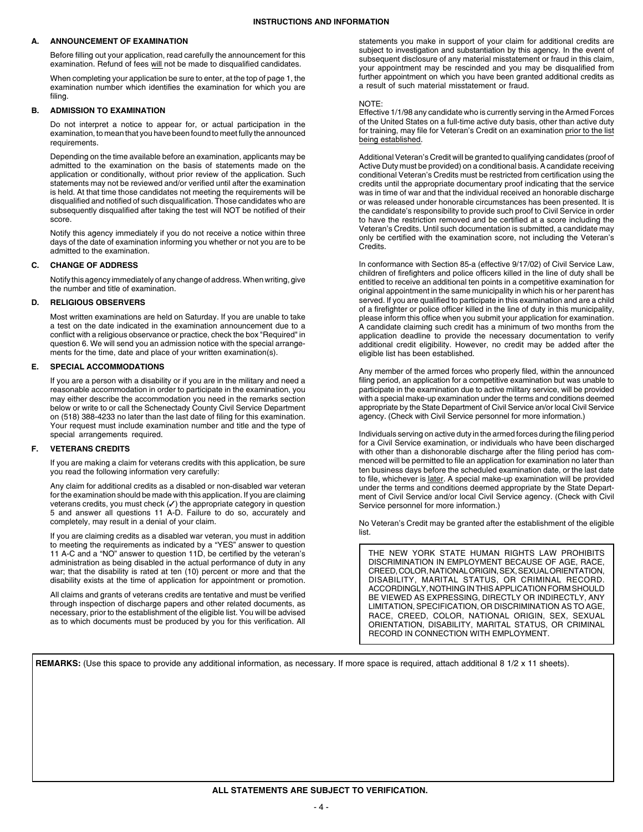### **A. ANNOUNCEMENT OF EXAMINATION**

Before filling out your application, read carefully the announcement for this examination. Refund of fees will not be made to disqualified candidates.

When completing your application be sure to enter, at the top of page 1, the examination number which identifies the examination for which you are filing.

### **B. ADMISSION TO EXAMINATION**

Do not interpret a notice to appear for, or actual participation in the examination, to mean that you have been found to meet fully the announced requirements.

Depending on the time available before an examination, applicants may be admitted to the examination on the basis of statements made on the application or conditionally, without prior review of the application. Such statements may not be reviewed and/or verified until after the examination is held. At that time those candidates not meeting the requirements will be disqualified and notified of such disqualification. Those candidates who are subsequently disqualified after taking the test will NOT be notified of their score.

Notify this agency immediately if you do not receive a notice within three days of the date of examination informing you whether or not you are to be admitted to the examination.

## **C. CHANGE OF ADDRESS**

Notify this agency immediately of any change of address. When writing, give the number and title of examination.

#### **D. RELIGIOUS OBSERVERS**

Most written examinations are held on Saturday. If you are unable to take a test on the date indicated in the examination announcement due to a conflict with a religious observance or practice, check the box "Required" in question 6. We will send you an admission notice with the special arrangements for the time, date and place of your written examination(s).

#### **E. SPECIAL ACCOMMODATIONS**

If you are a person with a disability or if you are in the military and need a reasonable accommodation in order to participate in the examination, you may either describe the accommodation you need in the remarks section below or write to or call the Schenectady County Civil Service Department on (518) 388-4233 no later than the last date of filing for this examination. Your request must include examination number and title and the type of special arrangements required.

#### **F. VETERANS CREDITS**

If you are making a claim for veterans credits with this application, be sure you read the following information very carefully:

Any claim for additional credits as a disabled or non-disabled war veteran for the examination should be made with this application. If you are claiming veterans credits, you must check  $(V)$  the appropriate category in question 5 and answer all questions 11 A-D. Failure to do so, accurately and completely, may result in a denial of your claim.

If you are claiming credits as a disabled war veteran, you must in addition to meeting the requirements as indicated by a "YES" answer to question 11 A-C and a "NO" answer to question 11D, be certified by the veteran's administration as being disabled in the actual performance of duty in any war; that the disability is rated at ten (10) percent or more and that the disability exists at the time of application for appointment or promotion.

All claims and grants of veterans credits are tentative and must be verified through inspection of discharge papers and other related documents, as necessary, prior to the establishment of the eligible list. You will be advised as to which documents must be produced by you for this verification. All statements you make in support of your claim for additional credits are subject to investigation and substantiation by this agency. In the event of subsequent disclosure of any material misstatement or fraud in this claim, your appointment may be rescinded and you may be disqualified from further appointment on which you have been granted additional credits as a result of such material misstatement or fraud.

#### NOTE:

Effective 1/1/98 any candidate who is currently serving in the Armed Forces of the United States on a full-time active duty basis, other than active duty for training, may file for Veteran's Credit on an examination prior to the list being established.

Additional Veteran's Credit will be granted to qualifying candidates (proof of Active Duty must be provided) on a conditional basis. A candidate receiving conditional Veteran's Credits must be restricted from certification using the credits until the appropriate documentary proof indicating that the service was in time of war and that the individual received an honorable discharge or was released under honorable circumstances has been presented. It is the candidate's responsibility to provide such proof to Civil Service in order to have the restriction removed and be certified at a score including the Veteran's Credits. Until such documentation is submitted, a candidate may only be certified with the examination score, not including the Veteran's Credits.

In conformance with Section 85-a (effective 9/17/02) of Civil Service Law, children of firefighters and police officers killed in the line of duty shall be entitled to receive an additional ten points in a competitive examination for original appointment in the same municipality in which his or her parent has served. If you are qualified to participate in this examination and are a child of a firefighter or police officer killed in the line of duty in this municipality, please inform this office when you submit your application for examination. A candidate claiming such credit has a minimum of two months from the application deadline to provide the necessary documentation to verify additional credit eligibility. However, no credit may be added after the eligible list has been established.

Any member of the armed forces who properly filed, within the announced filing period, an application for a competitive examination but was unable to participate in the examination due to active military service, will be provided with a special make-up examination under the terms and conditions deemed appropriate by the State Department of Civil Service an/or local Civil Service agency. (Check with Civil Service personnel for more information.)

Individuals serving on active duty in the armed forces during the filing period for a Civil Service examination, or individuals who have been discharged with other than a dishonorable discharge after the filing period has commenced will be permitted to file an application for examination no later than ten business days before the scheduled examination date, or the last date to file, whichever is later. A special make-up examination will be provided under the terms and conditions deemed appropriate by the State Department of Civil Service and/or local Civil Service agency. (Check with Civil Service personnel for more information.)

No Veteran's Credit may be granted after the establishment of the eligible list.

THE NEW YORK STATE HUMAN RIGHTS LAW PROHIBITS DISCRIMINATION IN EMPLOYMENT BECAUSE OF AGE, RACE, CREED, COLOR, NATIONAL ORIGIN, SEX, SEXUAL ORIENTATION, DISABILITY, MARITAL STATUS, OR CRIMINAL RECORD. ACCORDINGLY, NOTHING IN THIS APPLICATION FORM SHOULD BE VIEWED AS EXPRESSING, DIRECTLY OR INDIRECTLY, ANY LIMITATION, SPECIFICATION, OR DISCRIMINATION AS TO AGE, RACE, CREED, COLOR, NATIONAL ORIGIN, SEX, SEXUAL ORIENTATION, DISABILITY, MARITAL STATUS, OR CRIMINAL RECORD IN CONNECTION WITH EMPLOYMENT.

REMARKS: (Use this space to provide any additional information, as necessary. If more space is required, attach additional 8 1/2 x 11 sheets).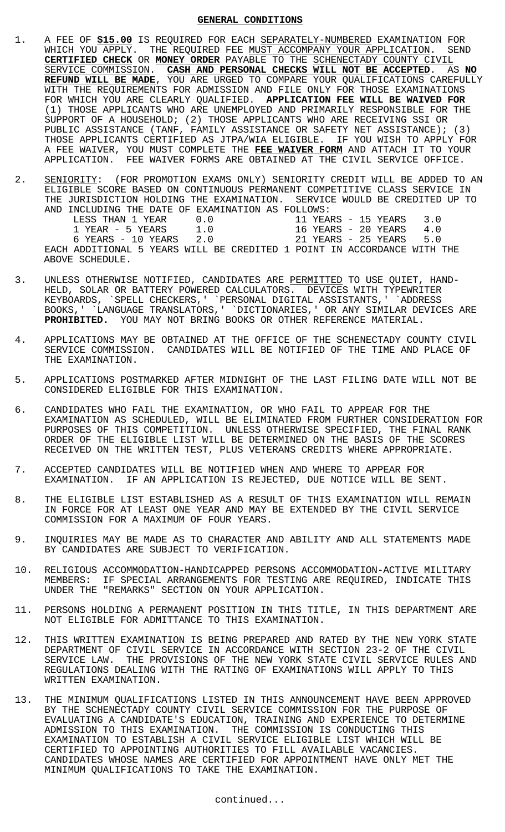# **GENERAL CONDITIONS**

- 1. A FEE OF **\$15.00** IS REQUIRED FOR EACH SEPARATELY-NUMBERED EXAMINATION FOR WHICH YOU APPLY. THE REQUIRED FEE MUST ACCOMPANY YOUR APPLICATION. SEND **CERTIFIED CHECK** OR **MONEY ORDER** PAYABLE TO THE SCHENECTADY COUNTY CIVIL SERVICE COMMISSION. **CASH AND PERSONAL CHECKS WILL NOT BE ACCEPTED**. AS **NO REFUND WILL BE MADE**, YOU ARE URGED TO COMPARE YOUR QUALIFICATIONS CAREFULLY WITH THE REQUIREMENTS FOR ADMISSION AND FILE ONLY FOR THOSE EXAMINATIONS FOR WHICH YOU ARE CLEARLY QUALIFIED. **APPLICATION FEE WILL BE WAIVED FOR** (1) THOSE APPLICANTS WHO ARE UNEMPLOYED AND PRIMARILY RESPONSIBLE FOR THE SUPPORT OF A HOUSEHOLD; (2) THOSE APPLICANTS WHO ARE RECEIVING SSI OR PUBLIC ASSISTANCE (TANF, FAMILY ASSISTANCE OR SAFETY NET ASSISTANCE); (3) THOSE APPLICANTS CERTIFIED AS JTPA/WIA ELIGIBLE. IF YOU WISH TO APPLY FOR A FEE WAIVER, YOU MUST COMPLETE THE **FEE WAIVER FORM** AND ATTACH IT TO YOUR APPLICATION. FEE WAIVER FORMS ARE OBTAINED AT THE CIVIL SERVICE OFFICE.
- 2. SENIORITY: (FOR PROMOTION EXAMS ONLY) SENIORITY CREDIT WILL BE ADDED TO AN ELIGIBLE SCORE BASED ON CONTINUOUS PERMANENT COMPETITIVE CLASS SERVICE IN THE JURISDICTION HOLDING THE EXAMINATION. SERVICE WOULD BE CREDITED UP TO AND INCLUDING THE DATE OF EXAMINATION AS FOLLOWS:

| LESS THAN 1 YEAR                                                        | $(1 \cdot 0)$ |  |  | 11 YEARS - 15 YEARS 3.0 |     |
|-------------------------------------------------------------------------|---------------|--|--|-------------------------|-----|
| 1 YEAR - 5 YEARS                                                        | 1.0           |  |  | 16 YEARS - 20 YEARS     | 4 O |
| $6$ YEARS $-10$ YEARS $2.0$                                             |               |  |  | 21 YEARS - 25 YEARS 5.0 |     |
| EACH ADDITIONAL 5 YEARS WILL BE CREDITED 1 POINT IN ACCORDANCE WITH THE |               |  |  |                         |     |
| ABOVE SCHEDULE.                                                         |               |  |  |                         |     |

- 3. UNLESS OTHERWISE NOTIFIED, CANDIDATES ARE PERMITTED TO USE QUIET, HAND-HELD, SOLAR OR BATTERY POWERED CALCULATORS. DEVICES WITH TYPEWRITER KEYBOARDS, `SPELL CHECKERS,' `PERSONAL DIGITAL ASSISTANTS,' `ADDRESS BOOKS,' `LANGUAGE TRANSLATORS,' `DICTIONARIES,' OR ANY SIMILAR DEVICES ARE **PROHIBITED.** YOU MAY NOT BRING BOOKS OR OTHER REFERENCE MATERIAL.
- 4. APPLICATIONS MAY BE OBTAINED AT THE OFFICE OF THE SCHENECTADY COUNTY CIVIL SERVICE COMMISSION. CANDIDATES WILL BE NOTIFIED OF THE TIME AND PLACE OF THE EXAMINATION.
- 5. APPLICATIONS POSTMARKED AFTER MIDNIGHT OF THE LAST FILING DATE WILL NOT BE CONSIDERED ELIGIBLE FOR THIS EXAMINATION.
- 6. CANDIDATES WHO FAIL THE EXAMINATION, OR WHO FAIL TO APPEAR FOR THE EXAMINATION AS SCHEDULED, WILL BE ELIMINATED FROM FURTHER CONSIDERATION FOR PURPOSES OF THIS COMPETITION. UNLESS OTHERWISE SPECIFIED, THE FINAL RANK ORDER OF THE ELIGIBLE LIST WILL BE DETERMINED ON THE BASIS OF THE SCORES RECEIVED ON THE WRITTEN TEST, PLUS VETERANS CREDITS WHERE APPROPRIATE.
- 7. ACCEPTED CANDIDATES WILL BE NOTIFIED WHEN AND WHERE TO APPEAR FOR EXAMINATION. IF AN APPLICATION IS REJECTED, DUE NOTICE WILL BE SENT.
- 8. THE ELIGIBLE LIST ESTABLISHED AS A RESULT OF THIS EXAMINATION WILL REMAIN IN FORCE FOR AT LEAST ONE YEAR AND MAY BE EXTENDED BY THE CIVIL SERVICE COMMISSION FOR A MAXIMUM OF FOUR YEARS.
- 9. INQUIRIES MAY BE MADE AS TO CHARACTER AND ABILITY AND ALL STATEMENTS MADE BY CANDIDATES ARE SUBJECT TO VERIFICATION.
- 10. RELIGIOUS ACCOMMODATION-HANDICAPPED PERSONS ACCOMMODATION-ACTIVE MILITARY MEMBERS: IF SPECIAL ARRANGEMENTS FOR TESTING ARE REQUIRED, INDICATE THIS UNDER THE "REMARKS" SECTION ON YOUR APPLICATION.
- 11. PERSONS HOLDING A PERMANENT POSITION IN THIS TITLE, IN THIS DEPARTMENT ARE NOT ELIGIBLE FOR ADMITTANCE TO THIS EXAMINATION.
- 12. THIS WRITTEN EXAMINATION IS BEING PREPARED AND RATED BY THE NEW YORK STATE DEPARTMENT OF CIVIL SERVICE IN ACCORDANCE WITH SECTION 23-2 OF THE CIVIL SERVICE LAW. THE PROVISIONS OF THE NEW YORK STATE CIVIL SERVICE RULES AND REGULATIONS DEALING WITH THE RATING OF EXAMINATIONS WILL APPLY TO THIS WRITTEN EXAMINATION.
- 13. THE MINIMUM QUALIFICATIONS LISTED IN THIS ANNOUNCEMENT HAVE BEEN APPROVED BY THE SCHENECTADY COUNTY CIVIL SERVICE COMMISSION FOR THE PURPOSE OF EVALUATING A CANDIDATE'S EDUCATION, TRAINING AND EXPERIENCE TO DETERMINE ADMISSION TO THIS EXAMINATION. THE COMMISSION IS CONDUCTING THIS EXAMINATION TO ESTABLISH A CIVIL SERVICE ELIGIBLE LIST WHICH WILL BE CERTIFIED TO APPOINTING AUTHORITIES TO FILL AVAILABLE VACANCIES. CANDIDATES WHOSE NAMES ARE CERTIFIED FOR APPOINTMENT HAVE ONLY MET THE MINIMUM QUALIFICATIONS TO TAKE THE EXAMINATION.